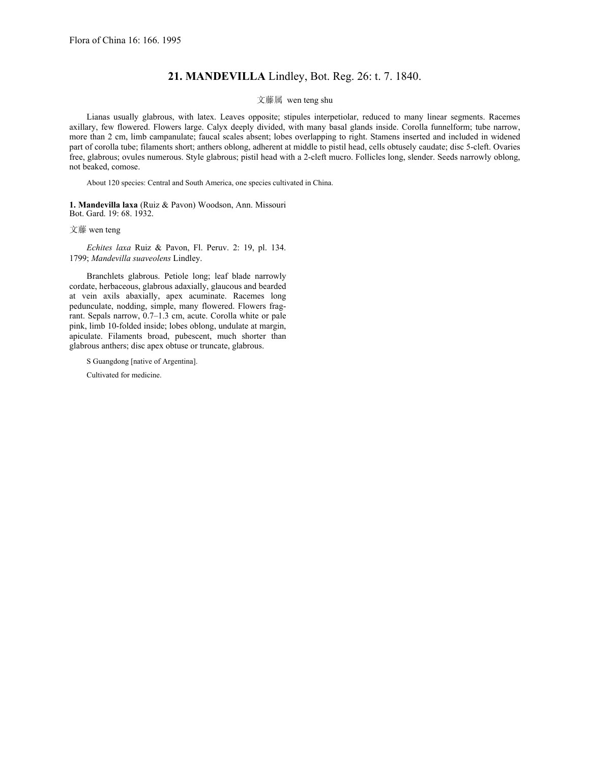## **21. MANDEVILLA** Lindley, Bot. Reg. 26: t. 7. 1840.

## 文藤属 wen teng shu

Lianas usually glabrous, with latex. Leaves opposite; stipules interpetiolar, reduced to many linear segments. Racemes axillary, few flowered. Flowers large. Calyx deeply divided, with many basal glands inside. Corolla funnelform; tube narrow, more than 2 cm, limb campanulate; faucal scales absent; lobes overlapping to right. Stamens inserted and included in widened part of corolla tube; filaments short; anthers oblong, adherent at middle to pistil head, cells obtusely caudate; disc 5-cleft. Ovaries free, glabrous; ovules numerous. Style glabrous; pistil head with a 2-cleft mucro. Follicles long, slender. Seeds narrowly oblong, not beaked, comose.

About 120 species: Central and South America, one species cultivated in China.

**1. Mandevilla laxa** (Ruiz & Pavon) Woodson, Ann. Missouri Bot. Gard. 19: 68. 1932.

## 文藤 wen teng

*Echites laxa* Ruiz & Pavon, Fl. Peruv. 2: 19, pl. 134. 1799; *Mandevilla suaveolens* Lindley.

Branchlets glabrous. Petiole long; leaf blade narrowly cordate, herbaceous, glabrous adaxially, glaucous and bearded at vein axils abaxially, apex acuminate. Racemes long pedunculate, nodding, simple, many flowered. Flowers fragrant. Sepals narrow, 0.7*–*1.3 cm, acute. Corolla white or pale pink, limb 10-folded inside; lobes oblong, undulate at margin, apiculate. Filaments broad, pubescent, much shorter than glabrous anthers; disc apex obtuse or truncate, glabrous.

S Guangdong [native of Argentina].

Cultivated for medicine.